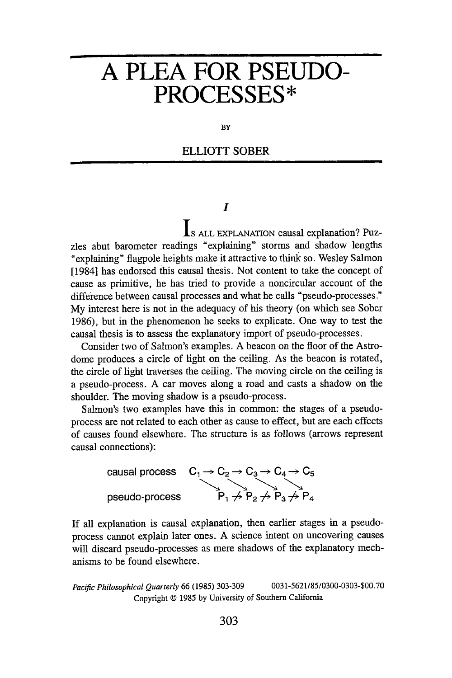# **A PLEA FOR PSEUDO-**PROCESSES\*

BY

## **ELLIOTT SOBER**

## I

**Is** ALL EXPLANATION causal explanation? Puzzles abut barometer readings "explaining" storms and shadow lengths "explaining" flagpole heights make it attractive to think so. Wesley Salmon [1984] has endorsed this causal thesis. Not content to take the concept of cause as primitive, he has tried to provide a noncircular account of the difference between causal processes and what he calls "pseudo-processes." My interest here is not in the adequacy of his theory (on which see Sober 1986), but in the phenomenon he seeks to explicate. One way to test the causal thesis is to assess the explanatory import of pseudo-processes.

Consider two of Salmon's examples. A beacon on the floor of the Astrodome produces a circle of light on the ceiling. As the beacon is rotated, the circle of light traverses the ceiling. The moving circle on the ceiling is a pseudo-process. A car moves along a road and casts a shadow on the shoulder. The moving shadow is a pseudo-process.

Salmon's two examples have this in common: the stages of a pseudoprocess are not related to each other as cause to effect, but are each effects of causes found elsewhere. The structure is as follows (arrows represent causal connections):



If all explanation is causal explanation, then earlier stages in a pseudoprocess cannot explain later ones. A science intent on uncovering causes will discard pseudo-processes as mere shadows of the explanatory mechanisms to be found elsewhere.

*Pacific Philosophical Quarterly* 66 (1985) 303-309 0031-5621/85/0300-0303-\$00.70 Copyright © 1985 by University of Southern California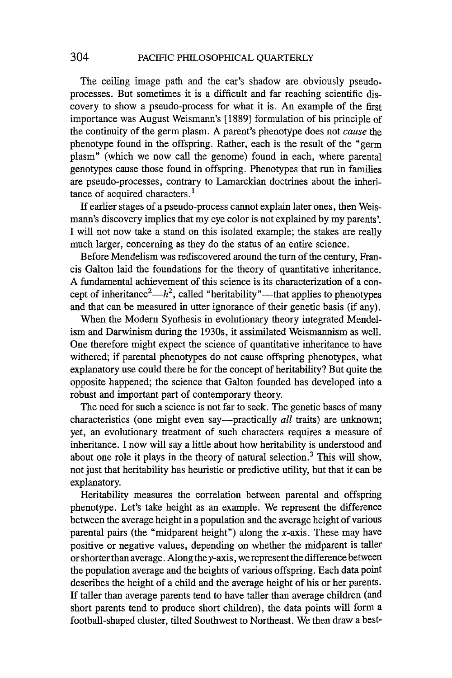The ceiling image path and the car's shadow are obviously pseudoprocesses. But sometimes it is a difficult and far reaching scientific discovery to show a pseudo-process for what it is. An example of the first importance was August Weismann's [1889] formulation of his principle of the continuity of the germ plasm. A parent's phenotype does not *cause* the phenotype found in the offspring. Rather, each is the result of the "germ plasm" (which we now call the genome) found in each, where parental genotypes cause those found in offspring. Phenotypes that run in families are pseudo-processes, contrary to Lamarckian doctrines about the inheritance of acquired characters.<sup>1</sup>

If earlier stages of a pseudo-process cannot explain later ones, then Weismann's discovery implies that my eye color is not explained by my parents'. I will not now take a stand on this isolated example; the stakes are really much larger, concerning as they do the status of an entire science.

Before Mendelism was rediscovered around the turn of the century, Francis Galton laid the foundations for the theory of quantitative inheritance. A fundamental achievement of this science is its characterization of a concept of inheritance<sup>2</sup>— $h^2$ , called "heritability"—that applies to phenotypes and that can be measured in utter ignorance of their genetic basis (if any).

When the Modern Synthesis in evolutionary theory integrated Mendelism and Darwinism during the 1930s, it assimilated Weismannism as well. One therefore might expect the science of quantitative inheritance to have withered; if parental phenotypes do not cause offspring phenotypes, what explanatory use could there be for the concept of heritability? But quite the opposite happened; the science that Galton founded has developed into a robust and important part of contemporary theory.

The need for such a science is not far to seek. The genetic bases of many characteristics (one might even say—practically *all* traits) are unknown; yet, an evolutionary treatment of such characters requires a measure of inheritance. I now will say a little about how heritability is understood and about one role it plays in the theory of natural selection.? This will show, not just that heritability has heuristic or predictive utility, but that it can be explanatory.

Heritability measures the correlation between parental and offspring phenotype. Let's take height as an example. We represent the difference between the average height in a population and the average height of various parental pairs (the "midparent height") along the  $x$ -axis. These may have positive or negative values, depending on whether the midparent is taller or shorter than average. Along the  $y$ -axis, we represent the difference between the population average and the heights of various offspring. Each data point describes the height of a child and the average height of his or her parents. If taller than average parents tend to have taller than average children (and short parents tend to produce short children), the data points will form a football-shaped cluster, tilted Southwest to Northeast. We then draw a best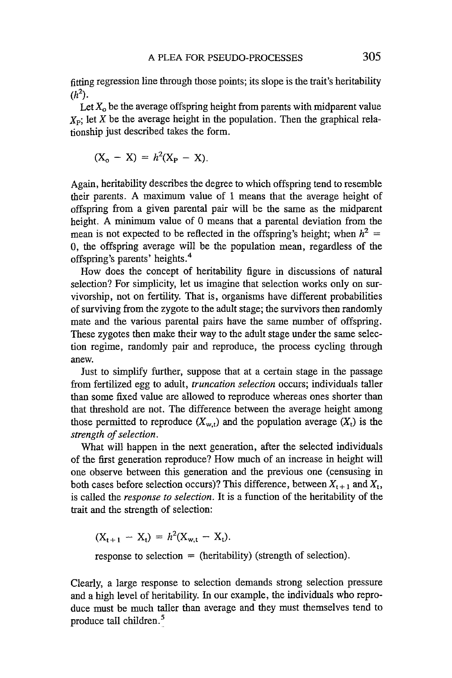fitting regression line through those points; its slope is the trait's heritability  $(h^2)$ .

Let  $X_0$  be the average offspring height from parents with midparent value  $X<sub>p</sub>$ ; let X be the average height in the population. Then the graphical relationship just described takes the form.

$$
(X_o - X) = h^2(X_P - X).
$$

Again, heritability describes the degree to which offspring tend to resemble their parents. A maximum value of 1 means that the average height of offspring from a given parental pair will be the same as the midparent height. A minimum value of 0 means that a parental deviation from the mean is not expected to be reflected in the offspring's height; when  $h^2 =$ 0, the offspring average will be the population mean, regardless of the offspring's parents' heights.<sup>4</sup>

How does the concept of heritability figure in discussions of natural selection? For simplicity, let us imagine that selection works only on survivorship, not on fertility. That is, organisms have different probabilities of surviving from the zygote to the adult stage; the survivors then randomly mate and the various parental pairs have the same number of offspring. These zygotes then make their way to the adult stage under the same selection regime, randomly pair and reproduce, the process cycling through anew.

Just to simplify further, suppose that at a certain stage in the passage from fertilized egg to adult, *truncation selection* occurs; individuals taller than some fixed value are allowed to reproduce whereas ones shorter than that threshold are not. The difference between the average height among those permitted to reproduce  $(X_{w,t})$  and the population average  $(X_t)$  is the *strength of selection.* 

What will happen in the next generation, after the selected individuals of the first generation reproduce? How much of an increase in height will one observe between this generation and the previous one (censusing in both cases before selection occurs)? This difference, between  $X_{t+1}$  and  $X_t$ , is called the *response to selection.* It is a function of the heritability of the trait and the strength of selection:

$$
(X_{t+1} - X_t) = h^2(X_{w,t} - X_t).
$$

response to selection  $=$  (heritability) (strength of selection).

Clearly, a large response to selection demands strong selection pressure and a high level of heritability. In our example, the individuals who reproduce must be much taller than average and they must themselves tend to produce tall children.<sup>5</sup>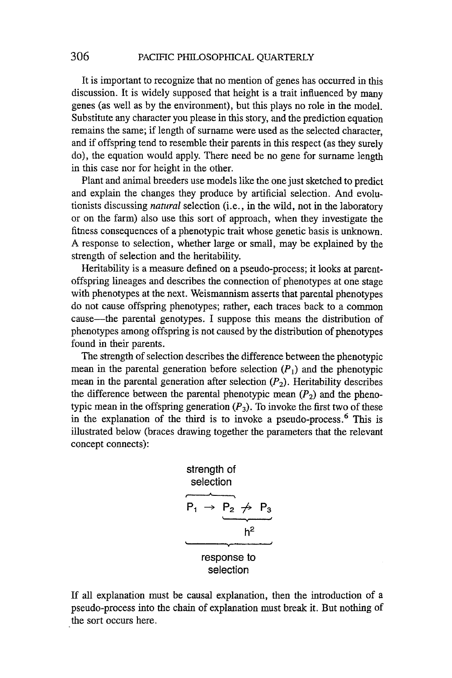It is important to recognize that no mention of genes has occurred in this discussion. It is widely supposed that height is a trait influenced by many genes (as well as by the environment), but this plays no role in the model. Substitute any character you please in this story, and the prediction equation remains the same; if length of surname were used as the selected character, and if offspring tend to resemble their parents in this respect (as they surely do), the equation would apply. There need be no gene for surname length in this case nor for height in the other.

Plant and animal breeders use models like the one just sketched to predict and explain the changes they produce by artificial selection. And evolutionists discussing *natural* selection (i.e., in the wild, not in the laboratory or on the farm) also use this sort of approach, when they investigate the fitness consequences of a phenotypic trait whose genetic basis is unknown. A response to selection, whether large or small, may be explained by the strength of selection and the heritability.

Heritability is a measure defined on a pseudo-process; it looks at parentoffspring lineages and describes the connection of phenotypes at one stage with phenotypes at the next. Weismannism asserts that parental phenotypes do not cause offspring phenotypes; rather, each traces back to a common cause-the parental genotypes. I suppose this means the distribution of phenotypes among offspring is not caused by the distribution of phenotypes found in their parents.

The strength of selection describes the difference between the phenotypic mean in the parental generation before selection  $(P_1)$  and the phenotypic mean in the parental generation after selection  $(P_2)$ . Heritability describes the difference between the parental phenotypic mean  $(P_2)$  and the phenotypic mean in the offspring generation  $(P_3)$ . To invoke the first two of these in the explanation of the third is to invoke a pseudo-process.<sup>6</sup> This is illustrated below (braces drawing together the parameters that the relevant concept connects):

| strength of selection                  |
|----------------------------------------|
| $P_1 \rightarrow P_2 \nrightarrow P_3$ |
| $h^2$                                  |
| $response to selection$                |

If all explanation must be causal explanation, then the introduction of a pseudo-process into the chain of explanation must break it. But nothing of the sort occurs here.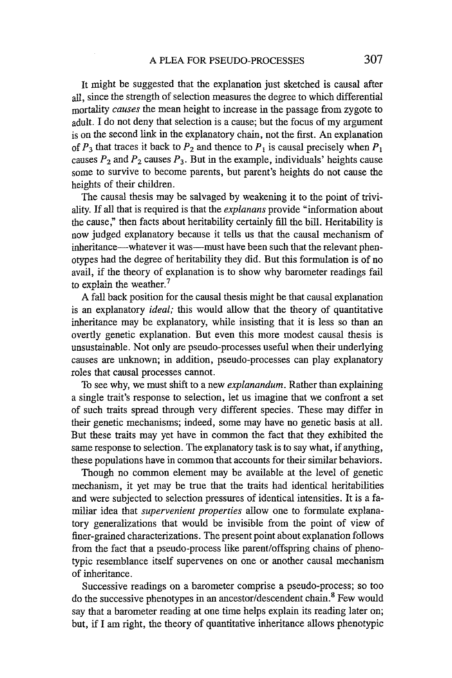It might be suggested that the explanation just sketched is causal after all, since the strength of selection measures the degree to which differential mortality *causes* the mean height to increase in the passage from zygote to adult. I do not deny that selection is a cause; but the focus of my argument is on the second link in the explanatory chain, not the first. An explanation of  $P_3$  that traces it back to  $P_2$  and thence to  $P_1$  is causal precisely when  $P_1$ causes  $P_2$  and  $P_2$  causes  $P_3$ . But in the example, individuals' heights cause some to survive to become parents, but parent's heights do not cause the heights of their children.

The causal thesis may be salvaged by weakening it to the point of triviality.If all that is required is that the *explanans* provide "information about the cause," then facts about heritability certainly fill the bill. Heritability is now judged explanatory because it tells us that the causal mechanism of inheritance—whatever it was—must have been such that the relevant phenotypes had the degree of heritability they did. But this formulation is of no avail, if the theory of explanation is to show why barometer readings fail to explain the weather. $7$ 

A fall back position for the causal thesis might be that causal explanation is an explanatory *ideal;* this would allow that the theory of quantitative inheritance may be explanatory, while insisting that it is less so than an overtly genetic explanation. But even this more modest causal thesis is unsustainable. Not only are pseudo-processes useful when their underlying causes are unknown; in addition, pseudo-processes can play explanatory roles that causal processes cannot.

To see why, we must shift to a new *explanandum.* Rather than explaining a single trait's response to selection, let us imagine that we confront a set of such traits spread through very different species. These may differ in their genetic mechanisms; indeed, some may have no genetic basis at all. But these traits may yet have in common the fact that they exhibited the same response to selection. The explanatory task is to say what, if anything, these populations have in common that accounts for their similar behaviors.

Though no common element may be available at the level of genetic mechanism, it yet may be true that the traits had identical heritabilities and were subjected to selection pressures of identical intensities. It is a familiar idea that *supervenient properties* allow one to formulate explanatory generalizations that would be invisible from the point of view of finer-grained characterizations. The present point about explanation follows from the fact that a pseudo-process like parent/offspring chains of phenotypic resemblance itself supervenes on one or another causal mechanism of inheritance.

Successive readings on a barometer comprise a pseudo-process; so too do the successive phenotypes in an ancestor/descendent chain.<sup>8</sup> Few would say that a barometer reading at one time helps explain its reading later on; but, if I am right, the theory of quantitative inheritance allows phenotypic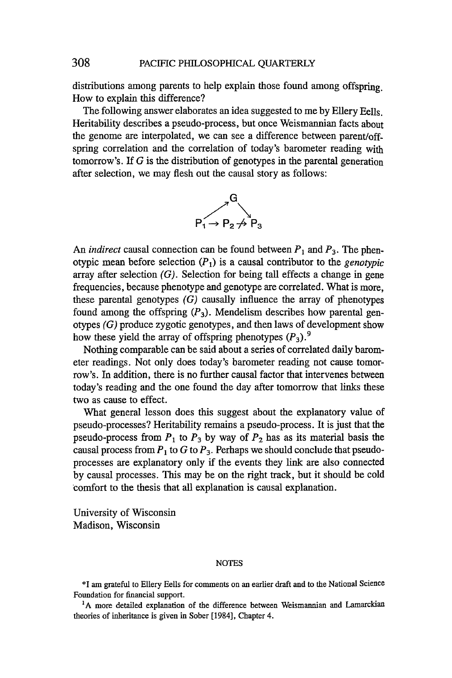### 308 PACIFIC PHILOSOPHICAL QUARTERLY

distributions among parents to help explain those found among offspring. How to explain this difference?

The following answer elaborates an idea suggested to me by Ellery Eells. Heritability describes a pseudo-process, but once Weismannian facts about the genome are interpolated, we can see a difference between parent/offspring correlation and the correlation of today's barometer reading with tomorrow's. If  $G$  is the distribution of genotypes in the parental generation after selection, we may flesh out the causal story as follows:



An *indirect* causal connection can be found between  $P_1$  and  $P_3$ . The phenotypic mean before selection  $(P_1)$  is a causal contributor to the *genotypic* array after selection  $(G)$ . Selection for being tall effects a change in gene frequencies, because phenotype and genotype are correlated. What is more, these parental genotypes  $(G)$  causally influence the array of phenotypes found among the offspring  $(P_3)$ . Mendelism describes how parental genotypes  $(G)$  produce zygotic genotypes, and then laws of development show how these yield the array of offspring phenotypes (P*3).9*

Nothing comparable can be said about a series of correlated daily barometer readings. Not only does today's barometer reading not cause tomorrow's. In addition, there is no further causal factor that intervenes between today's reading and the one found the day after tomorrow that links these two as cause to effect.

What general lesson does this suggest about the explanatory value of pseudo-processes? Heritability remains a pseudo-process. It is just that the pseudo-process from  $P_1$  to  $P_3$  by way of  $P_2$  has as its material basis the causal process from  $P_1$  to G to  $P_3$ . Perhaps we should conclude that pseudoprocesses are explanatory only if the events they link are also connected by causal processes. This may be on the right track, but it should be cold comfort to the thesis that all explanation is causal explanation.

University of Wisconsin Madison, Wisconsin

#### NOTES

\*1 am grateful to Ellery Eells for comments on an earlier draft and to the National Science Foundation for financial support.

<sup>1</sup>A more detailed explanation of the difference between Weismannian and Lamarckian theories of inheritance is given in Sober [1984], Chapter 4.